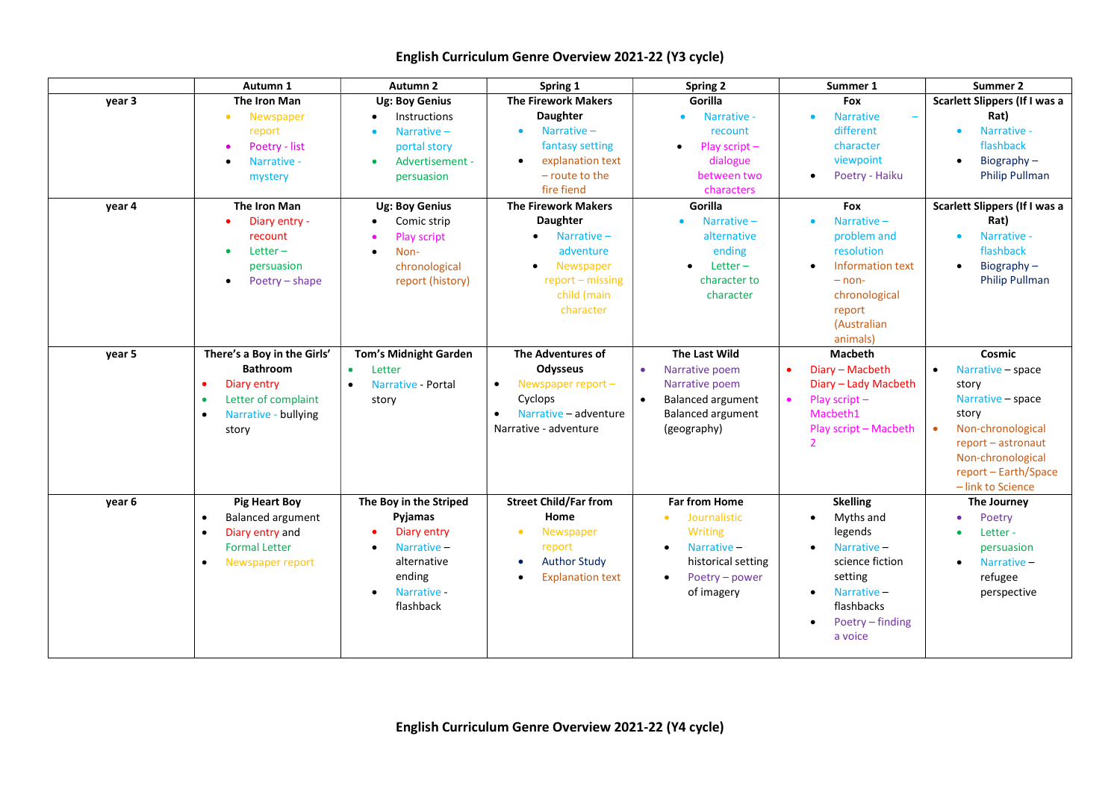## English Curriculum Genre Overview 2021-22 (Y3 cycle)

|        | Autumn 1                              | Autumn <sub>2</sub>             | Spring 1                             | <b>Spring 2</b>             | Summer 1                     | Summer 2                       |
|--------|---------------------------------------|---------------------------------|--------------------------------------|-----------------------------|------------------------------|--------------------------------|
| year 3 | The Iron Man                          | <b>Ug: Boy Genius</b>           | <b>The Firework Makers</b>           | Gorilla                     | Fox                          | Scarlett Slippers (If I was a  |
|        | Newspaper<br>$\bullet$                | Instructions                    | <b>Daughter</b>                      | Narrative -                 | <b>Narrative</b>             | Rat)                           |
|        | report                                | Narrative $-$                   | Narrative-<br>$\bullet$              | recount                     | different                    | Narrative -<br>$\bullet$       |
|        | Poetry - list                         | portal story                    | fantasy setting                      | Play script $-$             | character                    | flashback                      |
|        | Narrative -                           | Advertisement -                 | explanation text<br>$\bullet$        | dialogue                    | viewpoint                    | Biography $-$<br>$\bullet$     |
|        | mystery                               | persuasion                      | - route to the                       | between two                 | Poetry - Haiku               | <b>Philip Pullman</b>          |
|        |                                       |                                 | fire fiend                           | characters                  |                              |                                |
| year 4 | The Iron Man                          | <b>Ug: Boy Genius</b>           | <b>The Firework Makers</b>           | Gorilla                     | Fox                          | Scarlett Slippers (If I was a  |
|        | Diary entry -<br>$\bullet$            | Comic strip                     | <b>Daughter</b>                      | Narrative $-$               | Narrative $-$                | Rat)                           |
|        | recount                               | <b>Play script</b>              | Narrative $-$                        | alternative                 | problem and                  | Narrative -<br>$\bullet$       |
|        | Letter $-$<br>$\bullet$               | Non-                            | adventure                            | ending                      | resolution                   | flashback                      |
|        | persuasion                            | chronological                   | Newspaper                            | Letter $-$                  | Information text             | Biography-<br>$\bullet$        |
|        | Poetry - shape<br>$\bullet$           | report (history)                | $report - missing$                   | character to                | $-$ non-                     | <b>Philip Pullman</b>          |
|        |                                       |                                 | child (main                          | character                   | chronological                |                                |
|        |                                       |                                 | character                            |                             | report                       |                                |
|        |                                       |                                 |                                      |                             | (Australian                  |                                |
|        |                                       |                                 |                                      |                             | animals)                     |                                |
| year 5 | There's a Boy in the Girls'           | Tom's Midnight Garden           | The Adventures of                    | The Last Wild               | <b>Macbeth</b>               | Cosmic                         |
|        | <b>Bathroom</b>                       | $\bullet$<br>Letter             | Odysseus                             | Narrative poem              | Diary - Macbeth<br>$\bullet$ | Narrative - space<br>$\bullet$ |
|        | Diary entry<br>$\bullet$              | Narrative - Portal<br>$\bullet$ | Newspaper report $-$<br>$\bullet$    | Narrative poem              | Diary - Lady Macbeth         | story                          |
|        | Letter of complaint<br>$\bullet$      | story                           | Cyclops                              | <b>Balanced argument</b>    | Play script-<br>$\bullet$    | Narrative - space              |
|        | Narrative - bullying<br>$\bullet$     |                                 | Narrative - adventure                | Balanced argument           | Macbeth1                     | story                          |
|        | story                                 |                                 | Narrative - adventure                | (geography)                 | Play script - Macbeth        | Non-chronological              |
|        |                                       |                                 |                                      |                             |                              | report - astronaut             |
|        |                                       |                                 |                                      |                             |                              | Non-chronological              |
|        |                                       |                                 |                                      |                             |                              | report - Earth/Space           |
|        |                                       |                                 |                                      |                             |                              | - link to Science              |
| year 6 | <b>Pig Heart Boy</b>                  | The Boy in the Striped          | <b>Street Child/Far from</b>         | <b>Far from Home</b>        | <b>Skelling</b>              | The Journey                    |
|        | <b>Balanced argument</b><br>$\bullet$ | Pyjamas                         | Home                                 | Journalistic<br>$\bullet$   | Myths and                    | Poetry<br>$\bullet$            |
|        | Diary entry and<br>$\bullet$          | Diary entry                     | Newspaper<br>$\bullet$               | <b>Writing</b>              | legends                      | Letter-                        |
|        | <b>Formal Letter</b>                  | Narrative-                      | report                               | Narrative-<br>$\bullet$     | Narrative-                   | persuasion                     |
|        | Newspaper report<br>$\bullet$         | alternative                     | <b>Author Study</b><br>$\bullet$     | historical setting          | science fiction              | Narrative-<br>$\bullet$        |
|        |                                       | ending                          | <b>Explanation text</b><br>$\bullet$ | Poetry - power<br>$\bullet$ | setting                      | refugee                        |
|        |                                       | Narrative -                     |                                      | of imagery                  | Narrative-                   | perspective                    |
|        |                                       | flashback                       |                                      |                             | flashbacks                   |                                |
|        |                                       |                                 |                                      |                             | Poetry – finding             |                                |
|        |                                       |                                 |                                      |                             | a voice                      |                                |
|        |                                       |                                 |                                      |                             |                              |                                |